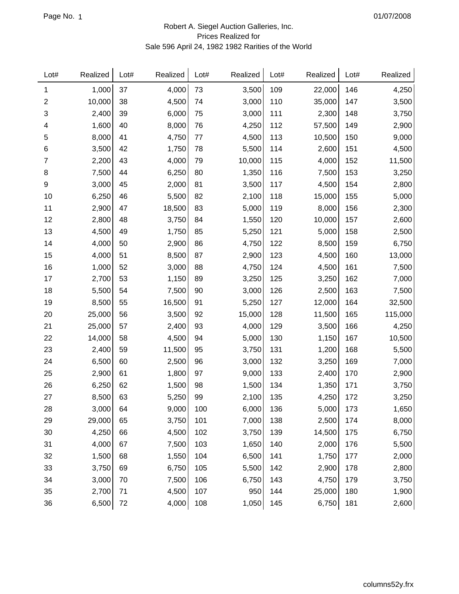## Robert A. Siegel Auction Galleries, Inc. Prices Realized for Sale 596 April 24, 1982 1982 Rarities of the World

| Lot#             | Realized | Lot# | Realized | Lot# | Realized | Lot# | Realized | Lot# | Realized |
|------------------|----------|------|----------|------|----------|------|----------|------|----------|
| 1                | 1,000    | 37   | 4,000    | 73   | 3,500    | 109  | 22,000   | 146  | 4,250    |
| $\boldsymbol{2}$ | 10,000   | 38   | 4,500    | 74   | 3,000    | 110  | 35,000   | 147  | 3,500    |
| 3                | 2,400    | 39   | 6,000    | 75   | 3,000    | 111  | 2,300    | 148  | 3,750    |
| 4                | 1,600    | 40   | 8,000    | 76   | 4,250    | 112  | 57,500   | 149  | 2,900    |
| 5                | 8,000    | 41   | 4,750    | 77   | 4,500    | 113  | 10,500   | 150  | 9,000    |
| 6                | 3,500    | 42   | 1,750    | 78   | 5,500    | 114  | 2,600    | 151  | 4,500    |
| 7                | 2,200    | 43   | 4,000    | 79   | 10,000   | 115  | 4,000    | 152  | 11,500   |
| 8                | 7,500    | 44   | 6,250    | 80   | 1,350    | 116  | 7,500    | 153  | 3,250    |
| 9                | 3,000    | 45   | 2,000    | 81   | 3,500    | 117  | 4,500    | 154  | 2,800    |
| 10               | 6,250    | 46   | 5,500    | 82   | 2,100    | 118  | 15,000   | 155  | 5,000    |
| 11               | 2,900    | 47   | 18,500   | 83   | 5,000    | 119  | 8,000    | 156  | 2,300    |
| 12               | 2,800    | 48   | 3,750    | 84   | 1,550    | 120  | 10,000   | 157  | 2,600    |
| 13               | 4,500    | 49   | 1,750    | 85   | 5,250    | 121  | 5,000    | 158  | 2,500    |
| 14               | 4,000    | 50   | 2,900    | 86   | 4,750    | 122  | 8,500    | 159  | 6,750    |
| 15               | 4,000    | 51   | 8,500    | 87   | 2,900    | 123  | 4,500    | 160  | 13,000   |
| 16               | 1,000    | 52   | 3,000    | 88   | 4,750    | 124  | 4,500    | 161  | 7,500    |
| 17               | 2,700    | 53   | 1,150    | 89   | 3,250    | 125  | 3,250    | 162  | 7,000    |
| 18               | 5,500    | 54   | 7,500    | 90   | 3,000    | 126  | 2,500    | 163  | 7,500    |
| 19               | 8,500    | 55   | 16,500   | 91   | 5,250    | 127  | 12,000   | 164  | 32,500   |
| 20               | 25,000   | 56   | 3,500    | 92   | 15,000   | 128  | 11,500   | 165  | 115,000  |
| 21               | 25,000   | 57   | 2,400    | 93   | 4,000    | 129  | 3,500    | 166  | 4,250    |
| 22               | 14,000   | 58   | 4,500    | 94   | 5,000    | 130  | 1,150    | 167  | 10,500   |
| 23               | 2,400    | 59   | 11,500   | 95   | 3,750    | 131  | 1,200    | 168  | 5,500    |
| 24               | 6,500    | 60   | 2,500    | 96   | 3,000    | 132  | 3,250    | 169  | 7,000    |
| 25               | 2,900    | 61   | 1,800    | 97   | 9,000    | 133  | 2,400    | 170  | 2,900    |
| 26               | 6,250    | 62   | 1,500    | 98   | 1,500    | 134  | 1,350    | 171  | 3,750    |
| 27               | 8,500    | 63   | 5,250    | 99   | 2,100    | 135  | 4,250    | 172  | 3,250    |
| 28               | 3,000    | 64   | 9,000    | 100  | 6,000    | 136  | 5,000    | 173  | 1,650    |
| 29               | 29,000   | 65   | 3,750    | 101  | 7,000    | 138  | 2,500    | 174  | 8,000    |
| 30               | 4,250    | 66   | 4,500    | 102  | 3,750    | 139  | 14,500   | 175  | 6,750    |
| 31               | 4,000    | 67   | 7,500    | 103  | 1,650    | 140  | 2,000    | 176  | 5,500    |
| 32               | 1,500    | 68   | 1,550    | 104  | 6,500    | 141  | 1,750    | 177  | 2,000    |
| 33               | 3,750    | 69   | 6,750    | 105  | 5,500    | 142  | 2,900    | 178  | 2,800    |
| 34               | 3,000    | 70   | 7,500    | 106  | 6,750    | 143  | 4,750    | 179  | 3,750    |
| 35               | 2,700    | 71   | 4,500    | 107  | 950      | 144  | 25,000   | 180  | 1,900    |
| 36               | 6,500    | 72   | 4,000    | 108  | 1,050    | 145  | 6,750    | 181  | 2,600    |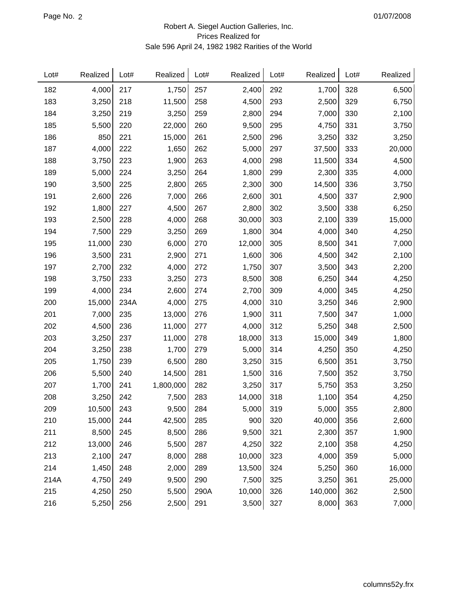## Robert A. Siegel Auction Galleries, Inc. Prices Realized for Sale 596 April 24, 1982 1982 Rarities of the World

| Lot# | Realized | Lot# | Realized  | Lot# | Realized | Lot# | Realized | Lot# | Realized |
|------|----------|------|-----------|------|----------|------|----------|------|----------|
| 182  | 4,000    | 217  | 1,750     | 257  | 2,400    | 292  | 1,700    | 328  | 6,500    |
| 183  | 3,250    | 218  | 11,500    | 258  | 4,500    | 293  | 2,500    | 329  | 6,750    |
| 184  | 3,250    | 219  | 3,250     | 259  | 2,800    | 294  | 7,000    | 330  | 2,100    |
| 185  | 5,500    | 220  | 22,000    | 260  | 9,500    | 295  | 4,750    | 331  | 3,750    |
| 186  | 850      | 221  | 15,000    | 261  | 2,500    | 296  | 3,250    | 332  | 3,250    |
| 187  | 4,000    | 222  | 1,650     | 262  | 5,000    | 297  | 37,500   | 333  | 20,000   |
| 188  | 3,750    | 223  | 1,900     | 263  | 4,000    | 298  | 11,500   | 334  | 4,500    |
| 189  | 5,000    | 224  | 3,250     | 264  | 1,800    | 299  | 2,300    | 335  | 4,000    |
| 190  | 3,500    | 225  | 2,800     | 265  | 2,300    | 300  | 14,500   | 336  | 3,750    |
| 191  | 2,600    | 226  | 7,000     | 266  | 2,600    | 301  | 4,500    | 337  | 2,900    |
| 192  | 1,800    | 227  | 4,500     | 267  | 2,800    | 302  | 3,500    | 338  | 6,250    |
| 193  | 2,500    | 228  | 4,000     | 268  | 30,000   | 303  | 2,100    | 339  | 15,000   |
| 194  | 7,500    | 229  | 3,250     | 269  | 1,800    | 304  | 4,000    | 340  | 4,250    |
| 195  | 11,000   | 230  | 6,000     | 270  | 12,000   | 305  | 8,500    | 341  | 7,000    |
| 196  | 3,500    | 231  | 2,900     | 271  | 1,600    | 306  | 4,500    | 342  | 2,100    |
| 197  | 2,700    | 232  | 4,000     | 272  | 1,750    | 307  | 3,500    | 343  | 2,200    |
| 198  | 3,750    | 233  | 3,250     | 273  | 8,500    | 308  | 6,250    | 344  | 4,250    |
| 199  | 4,000    | 234  | 2,600     | 274  | 2,700    | 309  | 4,000    | 345  | 4,250    |
| 200  | 15,000   | 234A | 4,000     | 275  | 4,000    | 310  | 3,250    | 346  | 2,900    |
| 201  | 7,000    | 235  | 13,000    | 276  | 1,900    | 311  | 7,500    | 347  | 1,000    |
| 202  | 4,500    | 236  | 11,000    | 277  | 4,000    | 312  | 5,250    | 348  | 2,500    |
| 203  | 3,250    | 237  | 11,000    | 278  | 18,000   | 313  | 15,000   | 349  | 1,800    |
| 204  | 3,250    | 238  | 1,700     | 279  | 5,000    | 314  | 4,250    | 350  | 4,250    |
| 205  | 1,750    | 239  | 6,500     | 280  | 3,250    | 315  | 6,500    | 351  | 3,750    |
| 206  | 5,500    | 240  | 14,500    | 281  | 1,500    | 316  | 7,500    | 352  | 3,750    |
| 207  | 1,700    | 241  | 1,800,000 | 282  | 3,250    | 317  | 5,750    | 353  | 3,250    |
| 208  | 3,250    | 242  | 7,500     | 283  | 14,000   | 318  | 1,100    | 354  | 4,250    |
| 209  | 10,500   | 243  | 9,500     | 284  | 5,000    | 319  | 5,000    | 355  | 2,800    |
| 210  | 15,000   | 244  | 42,500    | 285  | 900      | 320  | 40,000   | 356  | 2,600    |
| 211  | 8,500    | 245  | 8,500     | 286  | 9,500    | 321  | 2,300    | 357  | 1,900    |
| 212  | 13,000   | 246  | 5,500     | 287  | 4,250    | 322  | 2,100    | 358  | 4,250    |
| 213  | 2,100    | 247  | 8,000     | 288  | 10,000   | 323  | 4,000    | 359  | 5,000    |
| 214  | 1,450    | 248  | 2,000     | 289  | 13,500   | 324  | 5,250    | 360  | 16,000   |
| 214A | 4,750    | 249  | 9,500     | 290  | 7,500    | 325  | 3,250    | 361  | 25,000   |
| 215  | 4,250    | 250  | 5,500     | 290A | 10,000   | 326  | 140,000  | 362  | 2,500    |
| 216  | 5,250    | 256  | 2,500     | 291  | 3,500    | 327  | 8,000    | 363  | 7,000    |